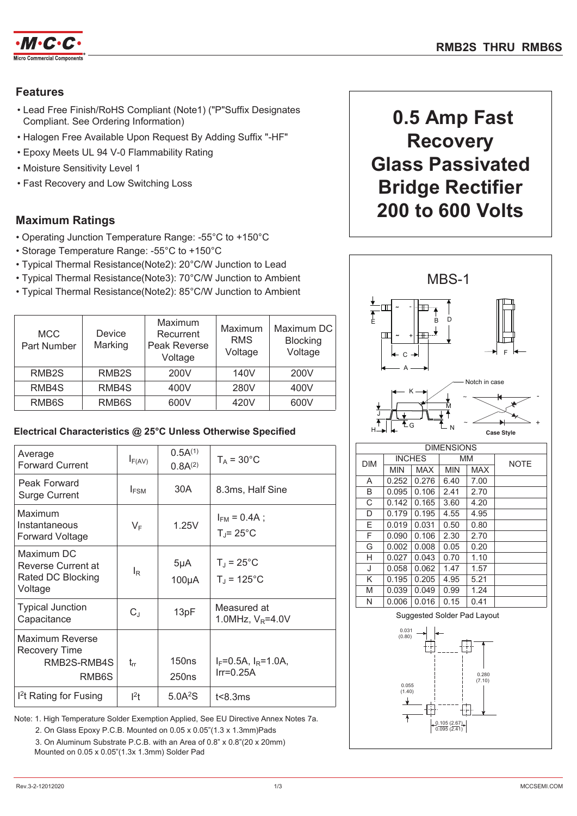

## **Features**

- Lead Free Finish/RoHS Compliant (Note1) ("P"Suffix Designates Compliant. See Ordering Information)
- Halogen Free Available Upon Request By Adding Suffix "-HF"
- Epoxy Meets UL 94 V-0 Flammability Rating
- Moisture Sensitivity Level 1
- Fast Recovery and Low Switching Loss

## **Maximum Ratings**

- Operating Junction Temperature Range: -55°C to +150°C
- Storage Temperature Range: -55°C to +150°C
- Typical Thermal Resistance(Note2): 20°C/W Junction to Lead
- Typical Thermal Resistance(Note3): 70°C/W Junction to Ambient
- Typical Thermal Resistance(Note2): 85°C/W Junction to Ambient

| <b>MCC</b><br>Part Number | Device<br>Marking  | Maximum<br>Recurrent<br>Peak Reverse<br>Voltage | Maximum<br><b>RMS</b><br>Voltage | Maximum DC<br><b>Blocking</b><br>Voltage |
|---------------------------|--------------------|-------------------------------------------------|----------------------------------|------------------------------------------|
| RMB <sub>2</sub> S        | RMB <sub>2</sub> S | 200V                                            | 140V                             | 200V                                     |
| RMB4S                     | RMB4S              | 400V                                            | 280V                             | 400V                                     |
| RMB6S                     | RMB6S              | 600V                                            | 420V                             | 600V                                     |

## Electrical Characteristics @ 25°C Unless Otherwise Specified

| Average<br><b>Forward Current</b>                                       | $I_{F(AV)}$      | $0.5A^{(1)}$<br>$0.8A^{(2)}$ | $T_A = 30^{\circ}$ C                          |
|-------------------------------------------------------------------------|------------------|------------------------------|-----------------------------------------------|
| Peak Forward<br><b>Surge Current</b>                                    | $I_{FSM}$        | 30A                          | 8.3ms, Half Sine                              |
| Maximum<br>Instantaneous<br><b>Forward Voltage</b>                      | VF               | 1.25V                        | $I_{FM} = 0.4A$ :<br>$T_i = 25^{\circ}$ C     |
| Maximum DC<br><b>Reverse Current at</b><br>Rated DC Blocking<br>Voltage | $I_{\mathsf{R}}$ | $5\mu A$<br>$100\mu A$       | $T_{\rm J}$ = 25°C<br>$T_{\rm J}$ = 125°C     |
| <b>Typical Junction</b><br>Capacitance                                  | $C_J$            | 13pF                         | Measured at<br>1.0MHz, $V_R = 4.0V$           |
| Maximum Reverse<br>Recovery Time<br>RMB2S-RMB4S<br>RMB6S                | $t_{rr}$         | 150ns<br>250 <sub>ns</sub>   | $I_F = 0.5A$ , $I_R = 1.0A$ ,<br>$Ir = 0.25A$ |
| <sup>2</sup> t Rating for Fusing                                        | 2t               | 5.0A <sup>2</sup> S          | t<8.3ms                                       |

Note: 1. High Temperature Solder Exemption Applied, See EU Directive Annex Notes 7a. 2. On Glass Epoxy P.C.B. Mounted on 0.05 x 0.05"(1.3 x 1.3mm)Pads

3. On Aluminum Substrate P.C.B. with an Area of 0.8" x 0.8"(20 x 20mm) Mounted on 0.05 x 0.05"(1.3x 1.3mm) Solder Pad

# 0.5 Amp Fast **Recovery Glass Passivated Bridge Rectifier 200 to 600 Volts**

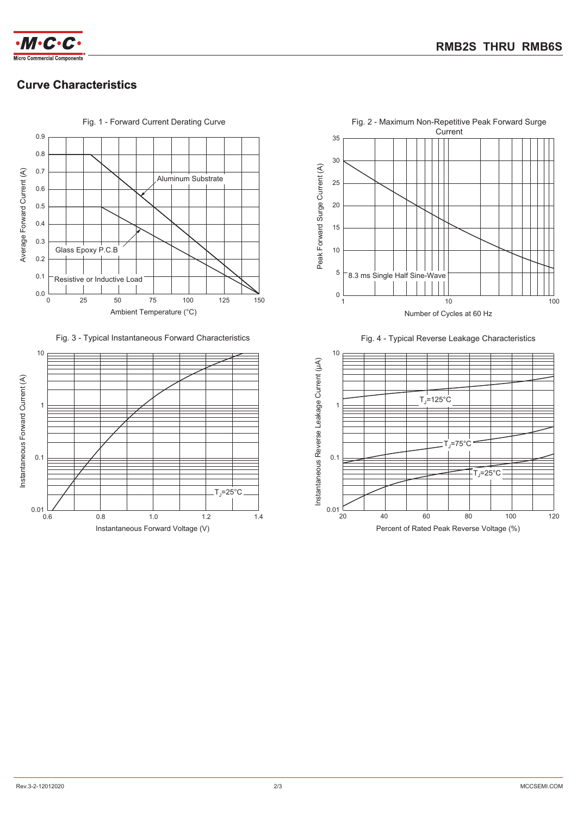

# **Curve Characteristics**



Fig. 3 - Typical Instantaneous Forward Characteristics





Fig. 4 - Typical Reverse Leakage Characteristics